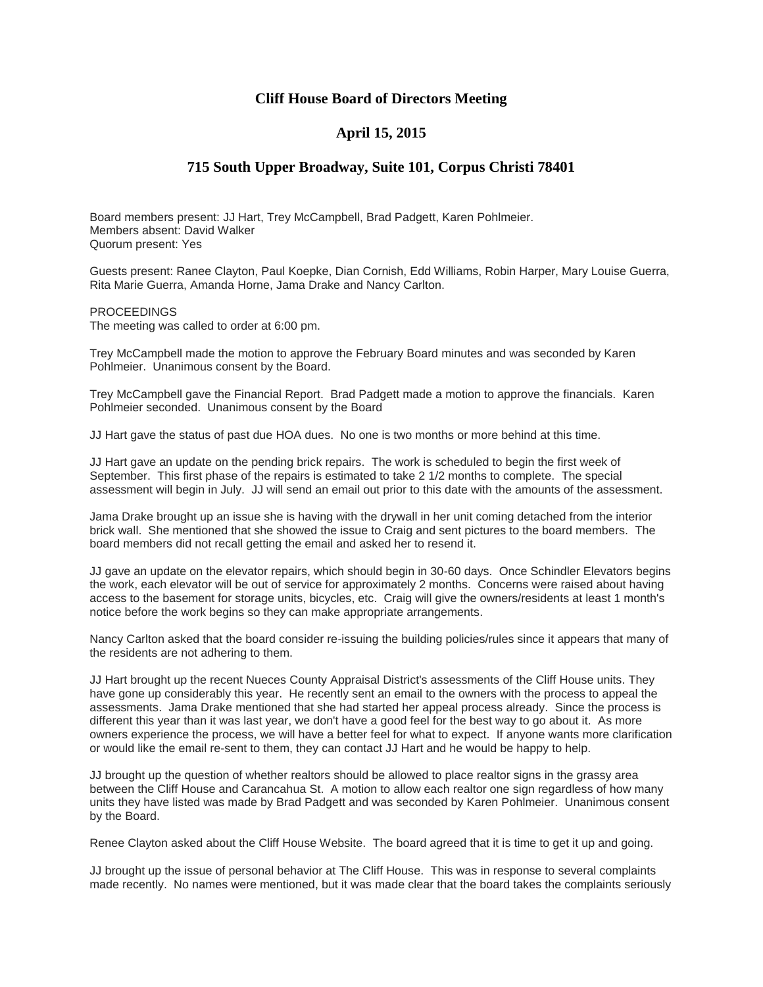## **Cliff House Board of Directors Meeting**

## **April 15, 2015**

## **715 South Upper Broadway, Suite 101, Corpus Christi 78401**

Board members present: JJ Hart, Trey McCampbell, Brad Padgett, Karen Pohlmeier. Members absent: David Walker Quorum present: Yes

Guests present: Ranee Clayton, Paul Koepke, Dian Cornish, Edd Williams, Robin Harper, Mary Louise Guerra, Rita Marie Guerra, Amanda Horne, Jama Drake and Nancy Carlton.

PROCEEDINGS The meeting was called to order at 6:00 pm.

Trey McCampbell made the motion to approve the February Board minutes and was seconded by Karen Pohlmeier. Unanimous consent by the Board.

Trey McCampbell gave the Financial Report. Brad Padgett made a motion to approve the financials. Karen Pohlmeier seconded. Unanimous consent by the Board

JJ Hart gave the status of past due HOA dues. No one is two months or more behind at this time.

JJ Hart gave an update on the pending brick repairs. The work is scheduled to begin the first week of September. This first phase of the repairs is estimated to take 2 1/2 months to complete. The special assessment will begin in July. JJ will send an email out prior to this date with the amounts of the assessment.

Jama Drake brought up an issue she is having with the drywall in her unit coming detached from the interior brick wall. She mentioned that she showed the issue to Craig and sent pictures to the board members. The board members did not recall getting the email and asked her to resend it.

JJ gave an update on the elevator repairs, which should begin in 30-60 days. Once Schindler Elevators begins the work, each elevator will be out of service for approximately 2 months. Concerns were raised about having access to the basement for storage units, bicycles, etc. Craig will give the owners/residents at least 1 month's notice before the work begins so they can make appropriate arrangements.

Nancy Carlton asked that the board consider re-issuing the building policies/rules since it appears that many of the residents are not adhering to them.

JJ Hart brought up the recent Nueces County Appraisal District's assessments of the Cliff House units. They have gone up considerably this year. He recently sent an email to the owners with the process to appeal the assessments. Jama Drake mentioned that she had started her appeal process already. Since the process is different this year than it was last year, we don't have a good feel for the best way to go about it. As more owners experience the process, we will have a better feel for what to expect. If anyone wants more clarification or would like the email re-sent to them, they can contact JJ Hart and he would be happy to help.

JJ brought up the question of whether realtors should be allowed to place realtor signs in the grassy area between the Cliff House and Carancahua St. A motion to allow each realtor one sign regardless of how many units they have listed was made by Brad Padgett and was seconded by Karen Pohlmeier. Unanimous consent by the Board.

Renee Clayton asked about the Cliff House Website. The board agreed that it is time to get it up and going.

JJ brought up the issue of personal behavior at The Cliff House. This was in response to several complaints made recently. No names were mentioned, but it was made clear that the board takes the complaints seriously